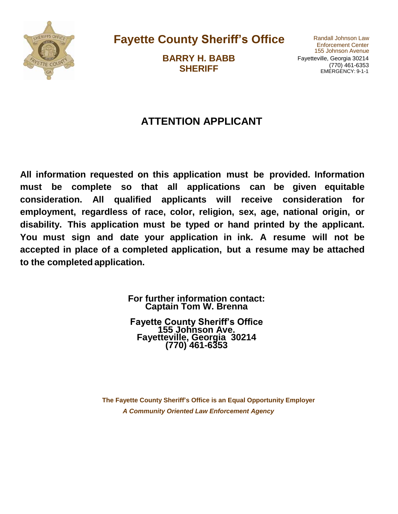

**Fayette County Sheriff's Office** Randall Johnson Law

**BARRY H. BABB SHERIFF**

155 Johnson Avenue Fayetteville, Georgia 30214 (770) 461-6353 EMERGENCY: 9-1-1

## **ATTENTION APPLICANT**

**All information requested on this application must be provided. Information must be complete so that all applications can be given equitable consideration. All qualified applicants will receive consideration for employment, regardless of race, color, religion, sex, age, national origin, or disability. This application must be typed or hand printed by the applicant. You must sign and date your application in ink. A resume will not be accepted in place of a completed application, but a resume may be attached to the completed application.**

> **For further information contact: Captain Tom W. Brenna**

**Fayette County Sheriff's Office 155 Johnson Ave. Fayetteville, Georgia 30214 (770) 461-6353**

**The Fayette County Sheriff's Office is an Equal Opportunity Employer** *A Community Oriented Law Enforcement Agency*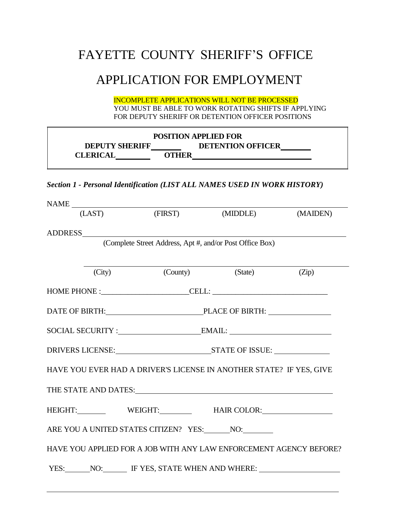# FAYETTE COUNTY SHERIFF'S OFFICE

# APPLICATION FOR EMPLOYMENT

INCOMPLETE APPLICATIONS WILL NOT BE PROCESSED YOU MUST BE ABLE TO WORK ROTATING SHIFTS IF APPLYING FOR DEPUTY SHERIFF OR DETENTION OFFICER POSITIONS

| <b>POSITION APPLIED FOR</b> |       |                          |  |
|-----------------------------|-------|--------------------------|--|
| <b>DEPUTY SHERIFF</b>       |       | <b>DETENTION OFFICER</b> |  |
| <b>CLERICAL</b>             | OTHER |                          |  |

#### *Section 1 - Personal Identification (LIST ALL NAMES USED IN WORK HISTORY)*

| $\begin{tabular}{c} \bf{NAME} \end{tabular}$ |                                                                     |          |
|----------------------------------------------|---------------------------------------------------------------------|----------|
| (LAST)                                       | (FIRST) (MIDDLE)                                                    | (MAIDEN) |
|                                              |                                                                     |          |
| ADDRESS                                      | (Complete Street Address, Apt #, and/or Post Office Box)            |          |
|                                              |                                                                     |          |
|                                              |                                                                     |          |
|                                              | (City) (County) (State) (Zip)                                       |          |
|                                              | $HOME PHONE : CELL: _________$                                      |          |
|                                              | DATE OF BIRTH: PLACE OF BIRTH:                                      |          |
|                                              |                                                                     |          |
|                                              | DRIVERS LICENSE: STATE OF ISSUE:                                    |          |
|                                              | HAVE YOU EVER HAD A DRIVER'S LICENSE IN ANOTHER STATE? IF YES, GIVE |          |
|                                              | THE STATE AND DATES: Universe of the STATE AND DATES:               |          |
|                                              | HEIGHT: WEIGHT: HAIR COLOR:                                         |          |
|                                              | ARE YOU A UNITED STATES CITIZEN? YES: NO: NO:                       |          |
|                                              | HAVE YOU APPLIED FOR A JOB WITH ANY LAW ENFORCEMENT AGENCY BEFORE?  |          |
|                                              | YES: NO: IF YES, STATE WHEN AND WHERE:                              |          |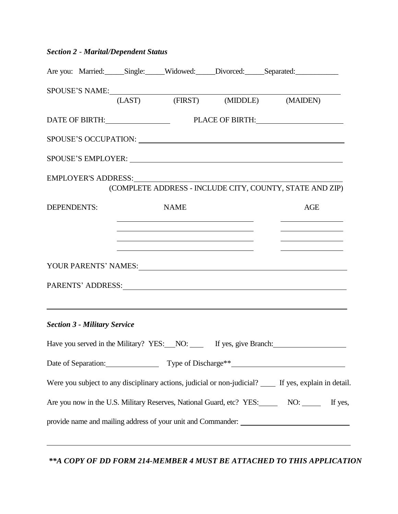## *Section 2* - *Marital/Dependent Status*

|             |                                     |                                                                                                                                                                                                                                                                                                                                                       |                                                                                                                                                                                                                                | Are you: Married: Single: Widowed: Divorced: Separated: _________________________                        |
|-------------|-------------------------------------|-------------------------------------------------------------------------------------------------------------------------------------------------------------------------------------------------------------------------------------------------------------------------------------------------------------------------------------------------------|--------------------------------------------------------------------------------------------------------------------------------------------------------------------------------------------------------------------------------|----------------------------------------------------------------------------------------------------------|
|             |                                     |                                                                                                                                                                                                                                                                                                                                                       |                                                                                                                                                                                                                                | SPOUS E'S NAME:                                                                                          |
|             |                                     |                                                                                                                                                                                                                                                                                                                                                       |                                                                                                                                                                                                                                | (LAST) (FIRST) (MIDDLE) (MAIDEN)                                                                         |
|             |                                     |                                                                                                                                                                                                                                                                                                                                                       |                                                                                                                                                                                                                                | DATE OF BIRTH: PLACE OF BIRTH:                                                                           |
|             |                                     |                                                                                                                                                                                                                                                                                                                                                       |                                                                                                                                                                                                                                | SPOUSE'S OCCUPATION: University of the SPOUSE'S OCCUPATION:                                              |
|             |                                     |                                                                                                                                                                                                                                                                                                                                                       |                                                                                                                                                                                                                                | SPOUSE'S EMPLOYER: University of the SPOUSE'S EMPLOYER:                                                  |
|             |                                     |                                                                                                                                                                                                                                                                                                                                                       | EMPLOYER'S ADDRESS: New York Contains the Contract of the Contract of the Contract of the Contract of the Contract of the Contract of the Contract of the Contract of the Contract of the Contract of the Contract of the Cont | (COMPLETE ADDRESS - INCLUDE CITY, COUNTY, STATE AND ZIP)                                                 |
| DEPENDENTS: |                                     | <b>NAME</b>                                                                                                                                                                                                                                                                                                                                           |                                                                                                                                                                                                                                | AGE                                                                                                      |
|             |                                     | <u> 1980 - John Harry Harry Harry Harry Harry Harry Harry Harry Harry Harry Harry Harry Harry Harry Harry Harry H</u>                                                                                                                                                                                                                                 |                                                                                                                                                                                                                                | the control of the control of the control of the                                                         |
|             |                                     | the control of the control of the control of the control of the control of the control of the control of the control of the control of the control of the control of the control of the control of the control of the control<br><u> 1989 - Johann John Stein, mars an deutscher Stein und der Stein und der Stein und der Stein und der Stein un</u> |                                                                                                                                                                                                                                | the control of the control of the control of<br>the control of the control of the control of             |
|             |                                     |                                                                                                                                                                                                                                                                                                                                                       |                                                                                                                                                                                                                                |                                                                                                          |
|             |                                     |                                                                                                                                                                                                                                                                                                                                                       |                                                                                                                                                                                                                                |                                                                                                          |
|             |                                     |                                                                                                                                                                                                                                                                                                                                                       |                                                                                                                                                                                                                                | ,我们也不会有什么。""我们的人,我们也不会有什么?""我们的人,我们也不会有什么?""我们的人,我们也不会有什么?""我们的人,我们也不会有什么?""我们的人                         |
|             | <b>Section 3 - Military Service</b> |                                                                                                                                                                                                                                                                                                                                                       |                                                                                                                                                                                                                                |                                                                                                          |
|             |                                     |                                                                                                                                                                                                                                                                                                                                                       |                                                                                                                                                                                                                                | Have you served in the Military? YES: NO: If yes, give Branch:                                           |
|             |                                     |                                                                                                                                                                                                                                                                                                                                                       |                                                                                                                                                                                                                                | Date of Separation: Type of Discharge <sup>**</sup>                                                      |
|             |                                     |                                                                                                                                                                                                                                                                                                                                                       |                                                                                                                                                                                                                                | Were you subject to any disciplinary actions, judicial or non-judicial? _____ If yes, explain in detail. |
|             |                                     |                                                                                                                                                                                                                                                                                                                                                       |                                                                                                                                                                                                                                | Are you now in the U.S. Military Reserves, National Guard, etc? YES: NO: NO: If yes,                     |
|             |                                     |                                                                                                                                                                                                                                                                                                                                                       |                                                                                                                                                                                                                                |                                                                                                          |
|             |                                     |                                                                                                                                                                                                                                                                                                                                                       |                                                                                                                                                                                                                                |                                                                                                          |

*\*\*A COPY OF DD FORM 214-MEMBER 4 MUST BE ATTACHED TO THIS APPLICATION*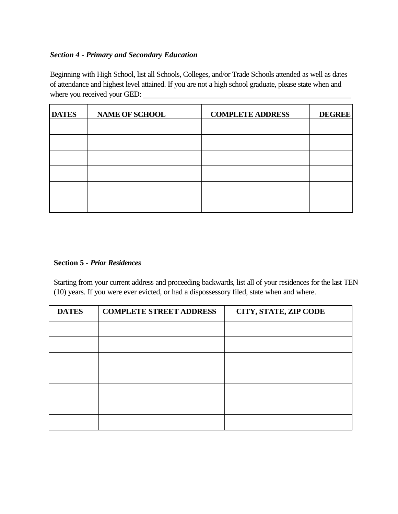#### *Section 4 - Primary and Secondary Education*

Beginning with High School, list all Schools, Colleges, and/or Trade Schools attended as well as dates of attendance and highest level attained. If you are not a high school graduate, please state when and where you received your GED:

| <b>DATES</b> | <b>NAME OF SCHOOL</b> | <b>COMPLETE ADDRESS</b> | <b>DEGREE</b> |
|--------------|-----------------------|-------------------------|---------------|
|              |                       |                         |               |
|              |                       |                         |               |
|              |                       |                         |               |
|              |                       |                         |               |
|              |                       |                         |               |
|              |                       |                         |               |

#### **Section 5** *- Prior Residences*

Starting from your current address and proceeding backwards, list all of your residences for the last TEN (10) years. If you were ever evicted, or had a dispossessory filed, state when and where.

| <b>DATES</b> | <b>COMPLETE STREET ADDRESS</b> | CITY, STATE, ZIP CODE |
|--------------|--------------------------------|-----------------------|
|              |                                |                       |
|              |                                |                       |
|              |                                |                       |
|              |                                |                       |
|              |                                |                       |
|              |                                |                       |
|              |                                |                       |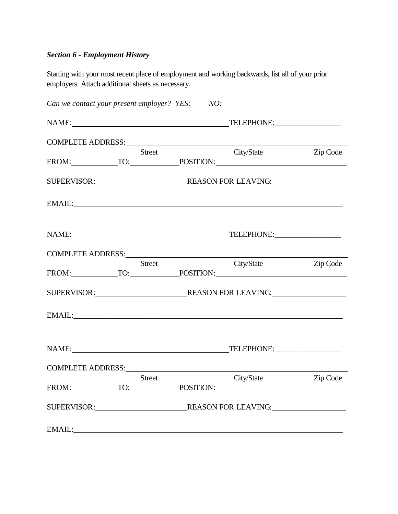## *Section 6 - Employment History*

Starting with your most recent place of employment and working backwards, list all of your prior employers. Attach additional sheets as necessary.

|                                                                                                                                                                                                                                |               | Can we contact your present employer? YES: NO:                                                                                                                                                                                |          |
|--------------------------------------------------------------------------------------------------------------------------------------------------------------------------------------------------------------------------------|---------------|-------------------------------------------------------------------------------------------------------------------------------------------------------------------------------------------------------------------------------|----------|
|                                                                                                                                                                                                                                |               | NAME: TELEPHONE: TELEPHONE:                                                                                                                                                                                                   |          |
| COMPLETE ADDRESS: University of the Second Property of the Second Property of the Second Property of the Second Property of the Second Property of the Second Property of the Second Property of the Second Property of the Se |               |                                                                                                                                                                                                                               |          |
|                                                                                                                                                                                                                                | <b>Street</b> | City/State Zip Code<br>FROM: TO: POSITION:                                                                                                                                                                                    |          |
|                                                                                                                                                                                                                                |               |                                                                                                                                                                                                                               |          |
|                                                                                                                                                                                                                                |               |                                                                                                                                                                                                                               |          |
|                                                                                                                                                                                                                                |               | NAME: TELEPHONE:                                                                                                                                                                                                              |          |
|                                                                                                                                                                                                                                |               |                                                                                                                                                                                                                               |          |
|                                                                                                                                                                                                                                | <b>Street</b> | City/State<br>FROM: TO: POSITION:                                                                                                                                                                                             | Zip Code |
|                                                                                                                                                                                                                                |               |                                                                                                                                                                                                                               |          |
|                                                                                                                                                                                                                                |               |                                                                                                                                                                                                                               |          |
|                                                                                                                                                                                                                                |               | NAME: TELEPHONE: TELEPHONE:                                                                                                                                                                                                   |          |
|                                                                                                                                                                                                                                |               | COMPLETE ADDRESS: University of the Second Line of the Second Line of the Second Line of the Second Line of the Second Line of the Second Line of the Second Line of the Second Line of the Second Line of the Second Line of |          |
|                                                                                                                                                                                                                                | Street        | City/State<br>FROM: TO: POSITION:                                                                                                                                                                                             | Zip Code |
|                                                                                                                                                                                                                                |               |                                                                                                                                                                                                                               |          |
|                                                                                                                                                                                                                                |               |                                                                                                                                                                                                                               |          |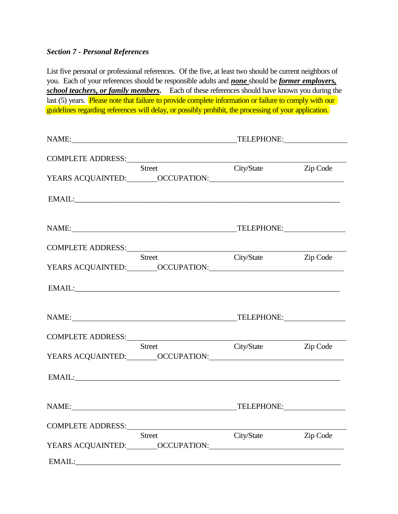#### *Section 7 - Personal References*

List five personal or professional references. Of the five, at least two should be current neighbors of you. Each of your references should be responsible adults and *none* should be *former employers, school teachers, or family members.* Each of these references should have known you during the last (5) years. Please note that failure to provide complete information or failure to comply with our guidelines regarding references will delay, or possibly prohibit, the processing of your application.

| NAME: TELEPHONE:                                                                                                                                                                                                               |                     |  |
|--------------------------------------------------------------------------------------------------------------------------------------------------------------------------------------------------------------------------------|---------------------|--|
| COMPLETE ADDRESS:                                                                                                                                                                                                              |                     |  |
| Street                                                                                                                                                                                                                         | City/State Zip Code |  |
|                                                                                                                                                                                                                                |                     |  |
|                                                                                                                                                                                                                                |                     |  |
| NAME: TELEPHONE:                                                                                                                                                                                                               |                     |  |
| COMPLETE ADDRESS: North Annual State Complete Address of the American State Complete Address of the American State Complete Address of the American State Address of the American State Address of the American State Address  |                     |  |
| Street                                                                                                                                                                                                                         | City/State Zip Code |  |
|                                                                                                                                                                                                                                |                     |  |
| NAME: TELEPHONE:                                                                                                                                                                                                               |                     |  |
| COMPLETE ADDRESS: NAME OF STREET ASSESSED FOR THE SERVICE OF STREET AND THE STREET ASSESSED FOR STREET AND THE STREET ASSESSED FOR STREET ASSESSED FOR STREET ASSESSED FOR STREET AND THE STREET ASSESSED FOR STREET AND THE S |                     |  |
| Street                                                                                                                                                                                                                         | City/State Zip Code |  |
| EMAIL: EMAIL:                                                                                                                                                                                                                  |                     |  |
| NAME: TELEPHONE:                                                                                                                                                                                                               |                     |  |
| COMPLETE ADDRESS: North American Section 1999                                                                                                                                                                                  |                     |  |
| <b>Street</b>                                                                                                                                                                                                                  | City/State Zip Code |  |
|                                                                                                                                                                                                                                |                     |  |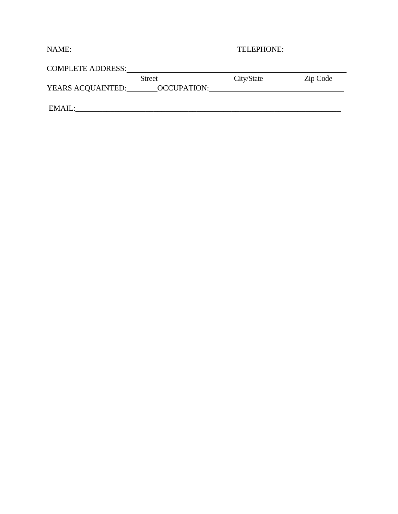| NAME:                    |                    | TELEPHONE: |          |
|--------------------------|--------------------|------------|----------|
| <b>COMPLETE ADDRESS:</b> |                    |            |          |
|                          | <b>Street</b>      | City/State | Zip Code |
| YEARS ACQUAINTED:        | <b>OCCUPATION:</b> |            |          |
|                          |                    |            |          |
| EMAIL:                   |                    |            |          |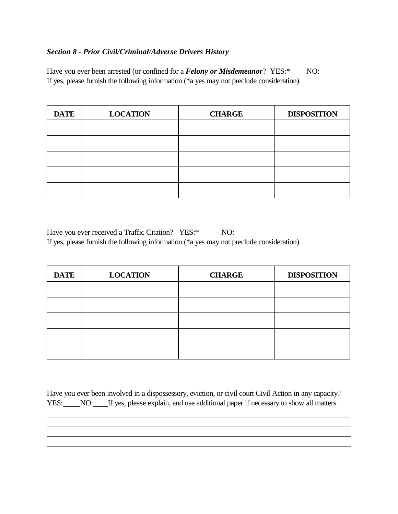#### *Section 8 - Prior Civil/Criminal/Adverse Drivers History*

Have you ever been arrested (or confined for a *Felony or Misdemeanor*? YES:\*\_\_\_NO:\_\_\_\_ If yes, please furnish the following information (\*a yes may not preclude consideration).

| <b>DATE</b> | <b>LOCATION</b> | <b>CHARGE</b> | <b>DISPOSITION</b> |
|-------------|-----------------|---------------|--------------------|
|             |                 |               |                    |
|             |                 |               |                    |
|             |                 |               |                    |
|             |                 |               |                    |
|             |                 |               |                    |

Have you ever received a Traffic Citation? YES:\*\_\_\_\_\_NO:\_\_\_\_\_\_\_ If yes, please furnish the following information (\*a yes may not preclude consideration).

| <b>DATE</b> | <b>LOCATION</b> | <b>CHARGE</b> | <b>DISPOSITION</b> |
|-------------|-----------------|---------------|--------------------|
|             |                 |               |                    |
|             |                 |               |                    |
|             |                 |               |                    |
|             |                 |               |                    |
|             |                 |               |                    |

Have you ever been involved in a dispossessory, eviction, or civil court Civil Action in any capacity? YES: NO: If yes, please explain, and use additional paper if necessary to show all matters.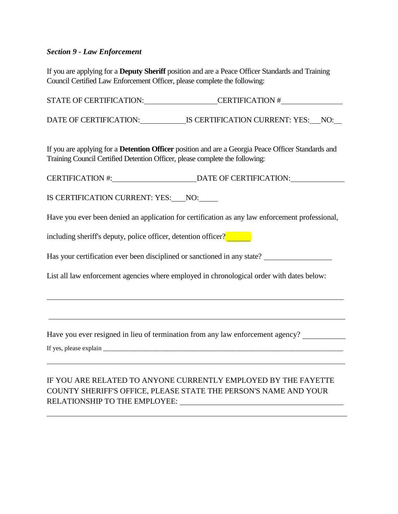#### *Section 9 - Law Enforcement*

If you are applying for a **Deputy Sheriff** position and are a Peace Officer Standards and Training Council Certified Law Enforcement Officer, please complete the following:

STATE OF CERTIFICATION: CERTIFICATION #

DATE OF CERTIFICATION: IS CERTIFICATION CURRENT: YES: NO:

If you are applying for a **Detention Officer** position and are a Georgia Peace Officer Standards and Training Council Certified Detention Officer, please complete the following:

CERTIFICATION #: DATE OF CERTIFICATION:

IS CERTIFICATION CURRENT: YES: NO:

Have you ever been denied an application for certification as any law enforcement professional,

including sheriff's deputy, police officer, detention officer?

Has your certification ever been disciplined or sanctioned in any state?

List all law enforcement agencies where employed in chronological order with dates below:

Have you ever resigned in lieu of termination from any law enforcement agency?

If yes, please explain

### IF YOU ARE RELATED TO ANYONE CURRENTLY EMPLOYED BY THE FAYETTE COUNTY SHERIFF'S OFFICE, PLEASE STATE THE PERSON'S NAME AND YOUR RELATIONSHIP TO THE EMPLOYEE:

\_\_\_\_\_\_\_\_\_\_\_\_\_\_\_\_\_\_\_\_\_\_\_\_\_\_\_\_\_\_\_\_\_\_\_\_\_\_\_\_\_\_\_\_\_\_\_\_\_\_\_\_\_\_\_\_\_\_\_\_\_\_\_\_\_\_\_\_\_\_\_\_\_\_\_\_\_\_\_\_\_\_\_\_\_\_\_\_\_\_\_\_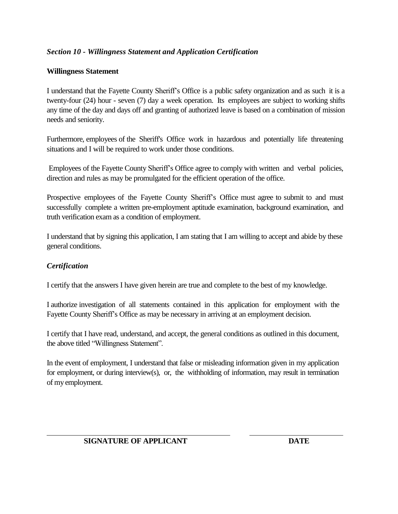#### *Section 10 - Willingness Statement and Application Certification*

#### **Willingness Statement**

I understand that the Fayette County Sheriff's Office is a public safety organization and as such it is a twenty-four (24) hour - seven (7) day a week operation. Its employees are subject to working shifts any time of the day and days off and granting of authorized leave is based on a combination of mission needs and seniority.

Furthermore, employees of the Sheriff's Office work in hazardous and potentially life threatening situations and I will be required to work under those conditions.

Employees of the Fayette County Sheriff's Office agree to comply with written and verbal policies, direction and rules as may be promulgated for the efficient operation of the office.

Prospective employees of the Fayette County Sheriff's Office must agree to submit to and must successfully complete a written pre-employment aptitude examination, background examination, and truth verification exam as a condition of employment.

I understand that by signing this application, I am stating that I am willing to accept and abide by these general conditions.

#### *Certification*

I certify that the answers I have given herein are true and complete to the best of my knowledge.

I authorize investigation of all statements contained in this application for employment with the Fayette County Sheriff's Office as may be necessary in arriving at an employment decision.

I certify that I have read, understand, and accept, the general conditions as outlined in this document, the above titled "Willingness Statement".

In the event of employment, I understand that false or misleading information given in my application for employment, or during interview(s), or, the withholding of information, may result in termination of my employment.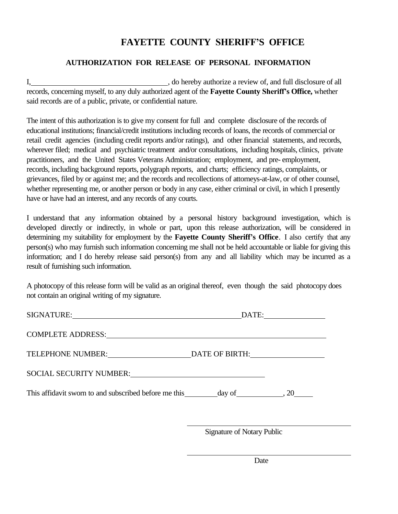## **FAYETTE COUNTY SHERIFF'S OFFICE**

#### **AUTHORIZATION FOR RELEASE OF PERSONAL INFORMATION**

I, so hereby authorize a review of, and full disclosure of all records, concerning myself, to any duly authorized agent of the **Fayette County Sheriff's Office,** whether said records are of a public, private, or confidential nature.

The intent of this authorization is to give my consent for full and complete disclosure of the records of educational institutions; financial/credit institutions including records of loans, the records of commercial or retail credit agencies (including credit reports and/or ratings), and other financial statements, and records, wherever filed; medical and psychiatric treatment and/or consultations, including hospitals, clinics, private practitioners, and the United States Veterans Administration; employment, and pre- employment, records, including background reports, polygraph reports, and charts; efficiency ratings, complaints, or grievances, filed by or against me; and the records and recollections of attorneys-at-law, or of other counsel, whether representing me, or another person or body in any case, either criminal or civil, in which I presently have or have had an interest, and any records of any courts.

I understand that any information obtained by a personal history background investigation, which is developed directly or indirectly, in whole or part, upon this release authorization, will be considered in determining my suitability for employment by the **Fayette County Sheriff's Office**. I also certify that any person(s) who may furnish such information concerning me shall not be held accountable or liable for giving this information; and I do hereby release said person(s) from any and all liability which may be incurred as a result of furnishing such information.

A photocopy of this release form will be valid as an original thereof, even though the said photocopy does not contain an original writing of my signature.

| COMPLETE ADDRESS: National Address of Additional Address of Address of Address of Address of Address of Addres |                                                                                                                                                                                                                                |  |
|----------------------------------------------------------------------------------------------------------------|--------------------------------------------------------------------------------------------------------------------------------------------------------------------------------------------------------------------------------|--|
| TELEPHONE NUMBER:                                                                                              | DATE OF BIRTH: Particular Control of Bill Control Control Control Control Control Control Control Control Control Control Control Control Control Control Control Control Control Control Control Control Control Control Cont |  |
| SOCIAL SECURITY NUMBER:<br><u> </u>                                                                            |                                                                                                                                                                                                                                |  |
|                                                                                                                |                                                                                                                                                                                                                                |  |
|                                                                                                                | <b>Signature of Notary Public</b>                                                                                                                                                                                              |  |

Date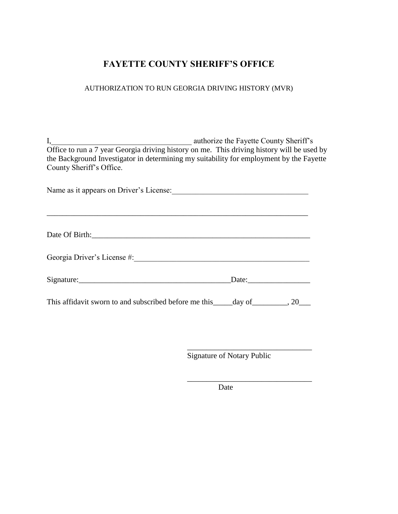## **FAYETTE COUNTY SHERIFF'S OFFICE**

#### AUTHORIZATION TO RUN GEORGIA DRIVING HISTORY (MVR)

I, authorize the Fayette County Sheriff's Office to run a 7 year Georgia driving history on me. This driving history will be used by the Background Investigator in determining my suitability for employment by the Fayette County Sheriff's Office.

Name as it appears on Driver's License:\_\_\_\_\_\_\_\_\_\_\_\_\_\_\_\_\_\_\_\_\_\_\_\_\_\_\_\_\_\_\_\_\_\_\_

| Georgia Driver's License #: |       |  |
|-----------------------------|-------|--|
|                             | Date: |  |

This affidavit sworn to and subscribed before me this \_\_\_\_day of \_\_\_\_\_\_\_, 20\_\_\_

Signature of Notary Public

\_\_\_\_\_\_\_\_\_\_\_\_\_\_\_\_\_\_\_\_\_\_\_\_\_\_\_\_\_\_\_\_

\_\_\_\_\_\_\_\_\_\_\_\_\_\_\_\_\_\_\_\_\_\_\_\_\_\_\_\_\_\_\_\_

\_\_\_\_\_\_\_\_\_\_\_\_\_\_\_\_\_\_\_\_\_\_\_\_\_\_\_\_\_\_\_\_\_\_\_\_\_\_\_\_\_\_\_\_\_\_\_\_\_\_\_\_\_\_\_\_\_\_\_\_\_\_\_\_\_\_\_

Date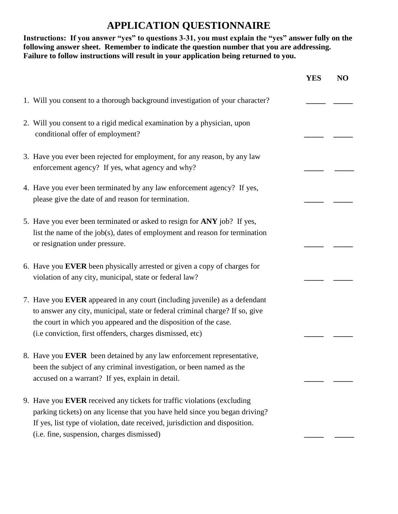## **APPLICATION QUESTIONNAIRE**

#### **Instructions: If you answer "yes" to questions 3-31, you must explain the "yes" answer fully on the following answer sheet. Remember to indicate the question number that you are addressing. Failure to follow instructions will result in your application being returned to you.**

|                                                                                                                                                                                                                                                                                             | YES | N <sub>O</sub> |
|---------------------------------------------------------------------------------------------------------------------------------------------------------------------------------------------------------------------------------------------------------------------------------------------|-----|----------------|
| 1. Will you consent to a thorough background investigation of your character?                                                                                                                                                                                                               |     |                |
| 2. Will you consent to a rigid medical examination by a physician, upon<br>conditional offer of employment?                                                                                                                                                                                 |     |                |
| 3. Have you ever been rejected for employment, for any reason, by any law<br>enforcement agency? If yes, what agency and why?                                                                                                                                                               |     |                |
| 4. Have you ever been terminated by any law enforcement agency? If yes,<br>please give the date of and reason for termination.                                                                                                                                                              |     |                |
| 5. Have you ever been terminated or asked to resign for ANY job? If yes,<br>list the name of the job(s), dates of employment and reason for termination<br>or resignation under pressure.                                                                                                   |     |                |
| 6. Have you EVER been physically arrested or given a copy of charges for<br>violation of any city, municipal, state or federal law?                                                                                                                                                         |     |                |
| 7. Have you EVER appeared in any court (including juvenile) as a defendant<br>to answer any city, municipal, state or federal criminal charge? If so, give<br>the court in which you appeared and the disposition of the case.<br>(i.e conviction, first offenders, charges dismissed, etc) |     |                |
| 8. Have you EVER been detained by any law enforcement representative,<br>been the subject of any criminal investigation, or been named as the<br>accused on a warrant? If yes, explain in detail.                                                                                           |     |                |
| 9. Have you EVER received any tickets for traffic violations (excluding<br>parking tickets) on any license that you have held since you began driving?<br>If yes, list type of violation, date received, jurisdiction and disposition.<br>(i.e. fine, suspension, charges dismissed)        |     |                |
|                                                                                                                                                                                                                                                                                             |     |                |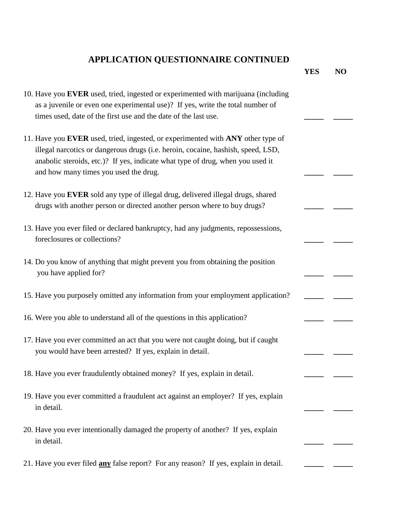## **APPLICATION QUESTIONNAIRE CONTINUED**

|                                                                                                                                                                                                                                                                                                | <b>YES</b> | N <sub>O</sub> |
|------------------------------------------------------------------------------------------------------------------------------------------------------------------------------------------------------------------------------------------------------------------------------------------------|------------|----------------|
| 10. Have you EVER used, tried, ingested or experimented with marijuana (including<br>as a juvenile or even one experimental use)? If yes, write the total number of<br>times used, date of the first use and the date of the last use.                                                         |            |                |
| 11. Have you EVER used, tried, ingested, or experimented with ANY other type of<br>illegal narcotics or dangerous drugs (i.e. heroin, cocaine, hashish, speed, LSD,<br>anabolic steroids, etc.)? If yes, indicate what type of drug, when you used it<br>and how many times you used the drug. |            |                |
| 12. Have you EVER sold any type of illegal drug, delivered illegal drugs, shared<br>drugs with another person or directed another person where to buy drugs?                                                                                                                                   |            |                |
| 13. Have you ever filed or declared bankruptcy, had any judgments, repossessions,<br>foreclosures or collections?                                                                                                                                                                              |            |                |
| 14. Do you know of anything that might prevent you from obtaining the position<br>you have applied for?                                                                                                                                                                                        |            |                |
| 15. Have you purposely omitted any information from your employment application?                                                                                                                                                                                                               |            |                |
| 16. Were you able to understand all of the questions in this application?                                                                                                                                                                                                                      |            |                |
| 17. Have you ever committed an act that you were not caught doing, but if caught<br>you would have been arrested? If yes, explain in detail.                                                                                                                                                   |            |                |
| 18. Have you ever fraudulently obtained money? If yes, explain in detail.                                                                                                                                                                                                                      |            |                |
| 19. Have you ever committed a fraudulent act against an employer? If yes, explain<br>in detail.                                                                                                                                                                                                |            |                |
| 20. Have you ever intentionally damaged the property of another? If yes, explain<br>in detail.                                                                                                                                                                                                 |            |                |
| 21. Have you ever filed <b>any</b> false report? For any reason? If yes, explain in detail.                                                                                                                                                                                                    |            |                |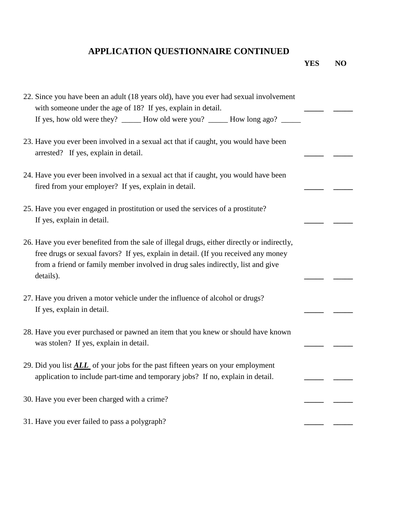# **APPLICATION QUESTIONNAIRE CONTINUED**

**YES NO**

| 22. Since you have been an adult (18 years old), have you ever had sexual involvement<br>with someone under the age of 18? If yes, explain in detail.                                                                                                                            |  |
|----------------------------------------------------------------------------------------------------------------------------------------------------------------------------------------------------------------------------------------------------------------------------------|--|
| If yes, how old were they? ______ How old were you? ______ How long ago? ______                                                                                                                                                                                                  |  |
| 23. Have you ever been involved in a sexual act that if caught, you would have been<br>arrested? If yes, explain in detail.                                                                                                                                                      |  |
| 24. Have you ever been involved in a sexual act that if caught, you would have been<br>fired from your employer? If yes, explain in detail.                                                                                                                                      |  |
| 25. Have you ever engaged in prostitution or used the services of a prostitute?<br>If yes, explain in detail.                                                                                                                                                                    |  |
| 26. Have you ever benefited from the sale of illegal drugs, either directly or indirectly,<br>free drugs or sexual favors? If yes, explain in detail. (If you received any money<br>from a friend or family member involved in drug sales indirectly, list and give<br>details). |  |
| 27. Have you driven a motor vehicle under the influence of alcohol or drugs?<br>If yes, explain in detail.                                                                                                                                                                       |  |
| 28. Have you ever purchased or pawned an item that you knew or should have known<br>was stolen? If yes, explain in detail.                                                                                                                                                       |  |
| 29. Did you list <b>ALL</b> of your jobs for the past fifteen years on your employment<br>application to include part-time and temporary jobs? If no, explain in detail.                                                                                                         |  |
| 30. Have you ever been charged with a crime?                                                                                                                                                                                                                                     |  |
| 31. Have you ever failed to pass a polygraph?                                                                                                                                                                                                                                    |  |